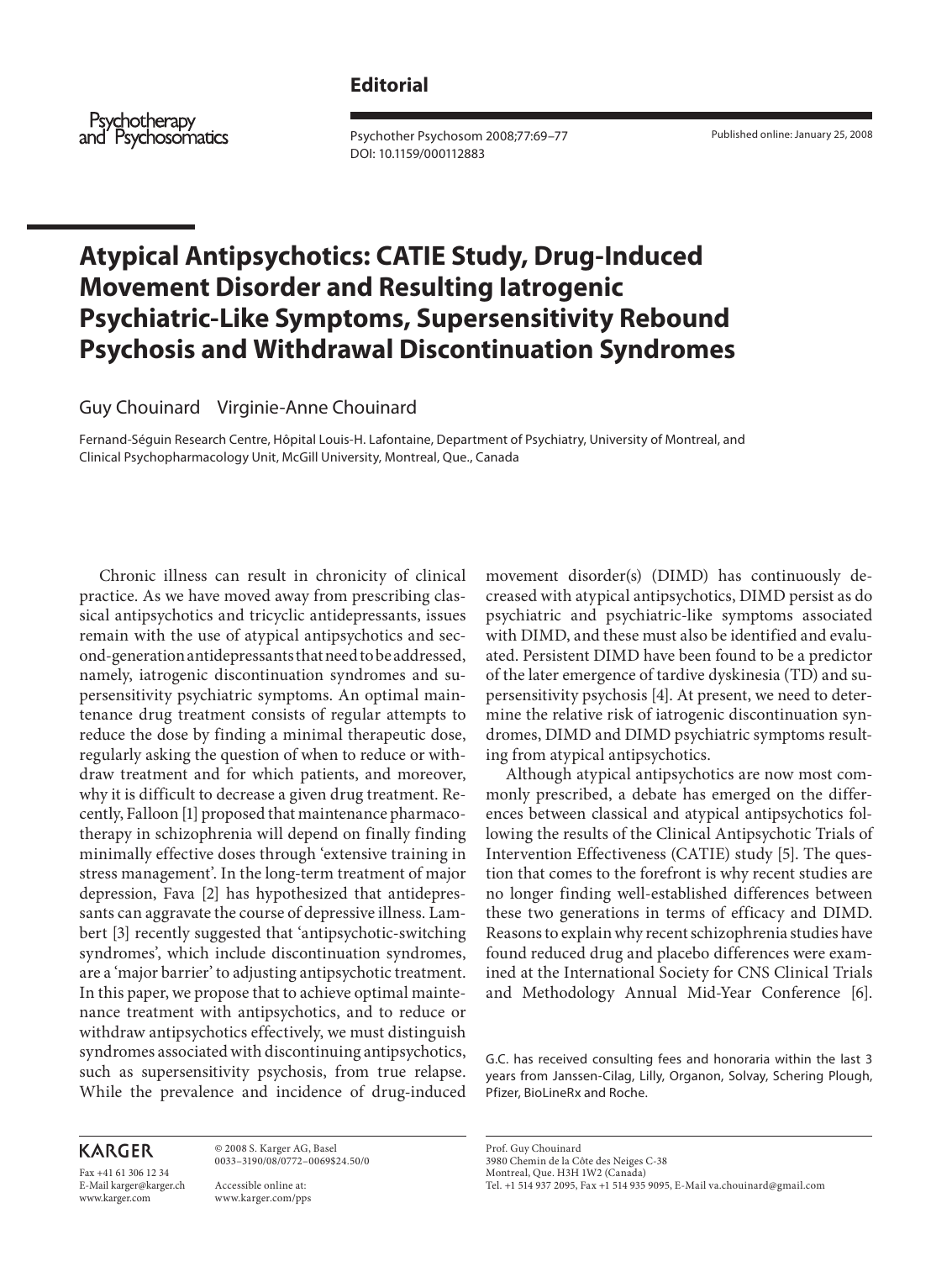## **Editorial**

Psychotherapy and Psychosomatics

 Psychother Psychosom 2008;77:69–77 DOI: 10.1159/000112883

Published online: January 25, 2008

# **Atypical Antipsychotics: CATIE Study, Drug-Induced Movement Disorder and Resulting Iatrogenic Psychiatric-Like Symptoms, Supersensitivity Rebound Psychosis and Withdrawal Discontinuation Syndromes**

Guy Chouinard Virginie-Anne Chouinard

 Fernand-Séguin Research Centre, Hôpital Louis-H. Lafontaine, Department of Psychiatry, University of Montreal, and Clinical Psychopharmacology Unit, McGill University, Montreal, Que., Canada

 Chronic illness can result in chronicity of clinical practice. As we have moved away from prescribing classical antipsychotics and tricyclic antidepressants, issues remain with the use of atypical antipsychotics and second-generation antidepressants that need to be addressed, namely, iatrogenic discontinuation syndromes and supersensitivity psychiatric symptoms. An optimal maintenance drug treatment consists of regular attempts to reduce the dose by finding a minimal therapeutic dose, regularly asking the question of when to reduce or withdraw treatment and for which patients, and moreover, why it is difficult to decrease a given drug treatment. Recently, Falloon [1] proposed that maintenance pharmacotherapy in schizophrenia will depend on finally finding minimally effective doses through 'extensive training in stress management'. In the long-term treatment of major depression, Fava [2] has hypothesized that antidepressants can aggravate the course of depressive illness. Lambert [3] recently suggested that 'antipsychotic-switching syndromes', which include discontinuation syndromes, are a 'major barrier' to adjusting antipsychotic treatment. In this paper, we propose that to achieve optimal maintenance treatment with antipsychotics, and to reduce or withdraw antipsychotics effectively, we must distinguish syndromes associated with discontinuing antipsychotics, such as supersensitivity psychosis, from true relapse. While the prevalence and incidence of drug-induced movement disorder(s) (DIMD) has continuously decreased with atypical antipsychotics, DIMD persist as do psychiatric and psychiatric-like symptoms associated with DIMD, and these must also be identified and evaluated. Persistent DIMD have been found to be a predictor of the later emergence of tardive dyskinesia (TD) and supersensitivity psychosis [4]. At present, we need to determine the relative risk of iatrogenic discontinuation syndromes, DIMD and DIMD psychiatric symptoms resulting from atypical antipsychotics.

 Although atypical antipsychotics are now most commonly prescribed, a debate has emerged on the differences between classical and atypical antipsychotics following the results of the Clinical Antipsychotic Trials of Intervention Effectiveness (CATIE) study [5]. The question that comes to the forefront is why recent studies are no longer finding well-established differences between these two generations in terms of efficacy and DIMD. Reasons to explain why recent schizophrenia studies have found reduced drug and placebo differences were examined at the International Society for CNS Clinical Trials and Methodology Annual Mid-Year Conference [6].

 G.C. has received consulting fees and honoraria within the last 3 years from Janssen-Cilag, Lilly, Organon, Solvay, Schering Plough, Pfizer, BioLineRx and Roche.

## **KARGER**

Fax +41 61 306 12 34 E-Mail karger@karger.ch www.karger.com

 © 2008 S. Karger AG, Basel 0033–3190/08/0772–0069\$24.50/0

 Accessible online at: www.karger.com/pps  Prof. Guy Chouinard 3980 Chemin de la Côte des Neiges C-38 Montreal, Que. H3H 1W2 (Canada)

Tel. +1 514 937 2095, Fax +1 514 935 9095, E-Mail va.chouinard@gmail.com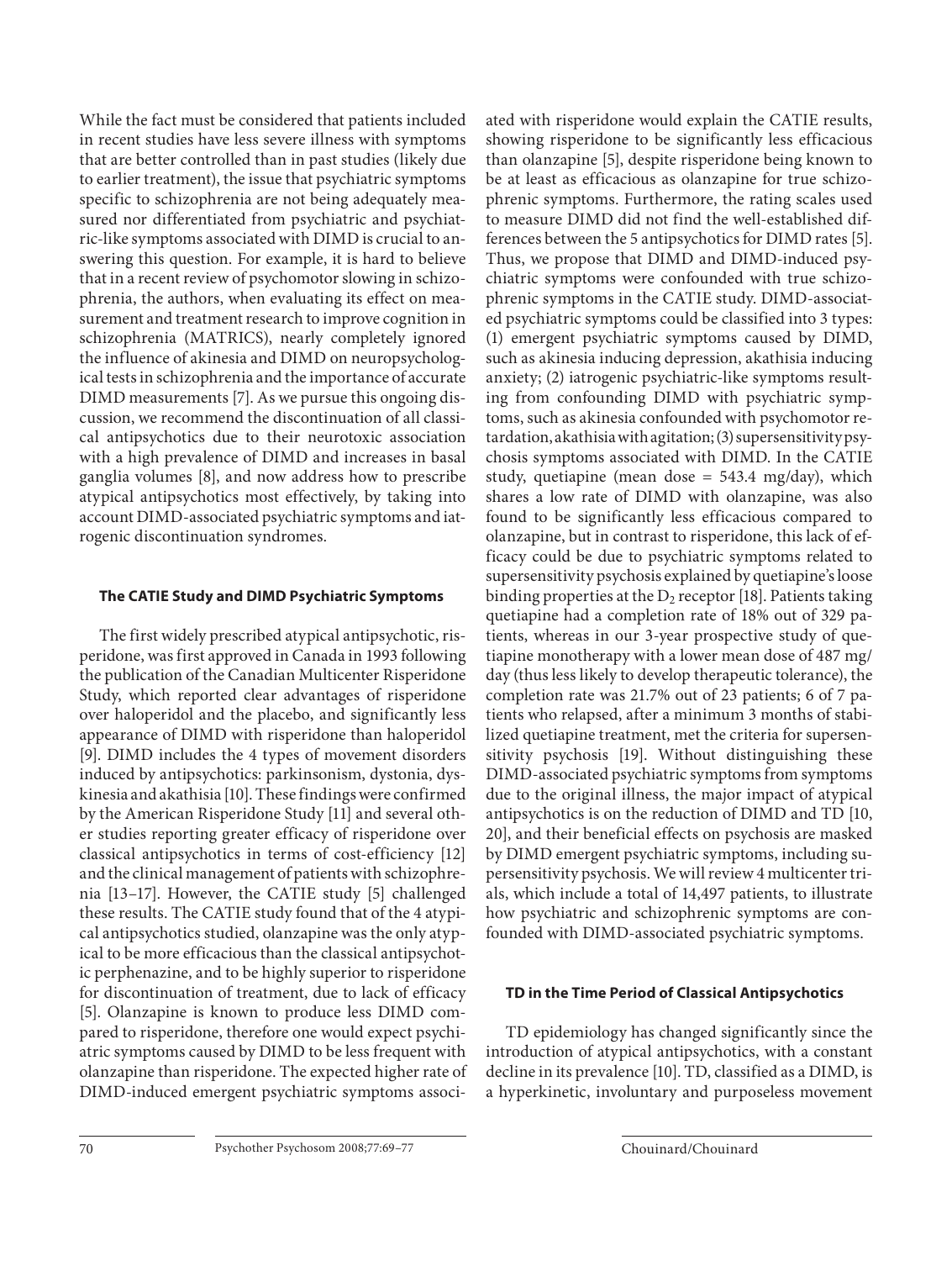While the fact must be considered that patients included in recent studies have less severe illness with symptoms that are better controlled than in past studies (likely due to earlier treatment), the issue that psychiatric symptoms specific to schizophrenia are not being adequately measured nor differentiated from psychiatric and psychiatric-like symptoms associated with DIMD is crucial to answering this question. For example, it is hard to believe that in a recent review of psychomotor slowing in schizophrenia, the authors, when evaluating its effect on measurement and treatment research to improve cognition in schizophrenia (MATRICS), nearly completely ignored the influence of akinesia and DIMD on neuropsychological tests in schizophrenia and the importance of accurate DIMD measurements [7]. As we pursue this ongoing discussion, we recommend the discontinuation of all classical antipsychotics due to their neurotoxic association with a high prevalence of DIMD and increases in basal ganglia volumes [8], and now address how to prescribe atypical antipsychotics most effectively, by taking into account DIMD-associated psychiatric symptoms and iatrogenic discontinuation syndromes.

#### **The CATIE Study and DIMD Psychiatric Symptoms**

 The first widely prescribed atypical antipsychotic, risperidone, was first approved in Canada in 1993 following the publication of the Canadian Multicenter Risperidone Study, which reported clear advantages of risperidone over haloperidol and the placebo, and significantly less appearance of DIMD with risperidone than haloperidol [9]. DIMD includes the 4 types of movement disorders induced by antipsychotics: parkinsonism, dystonia, dyskinesia and akathisia [10] . These findings were confirmed by the American Risperidone Study [11] and several other studies reporting greater efficacy of risperidone over classical antipsychotics in terms of cost-efficiency [12] and the clinical management of patients with schizophrenia [13–17]. However, the CATIE study [5] challenged these results. The CATIE study found that of the 4 atypical antipsychotics studied, olanzapine was the only atypical to be more efficacious than the classical antipsychotic perphenazine, and to be highly superior to risperidone for discontinuation of treatment, due to lack of efficacy [5]. Olanzapine is known to produce less DIMD compared to risperidone, therefore one would expect psychiatric symptoms caused by DIMD to be less frequent with olanzapine than risperidone. The expected higher rate of DIMD-induced emergent psychiatric symptoms associated with risperidone would explain the CATIE results, showing risperidone to be significantly less efficacious than olanzapine [5], despite risperidone being known to be at least as efficacious as olanzapine for true schizophrenic symptoms. Furthermore, the rating scales used to measure DIMD did not find the well-established differences between the 5 antipsychotics for DIMD rates [5] . Thus, we propose that DIMD and DIMD-induced psychiatric symptoms were confounded with true schizophrenic symptoms in the CATIE study. DIMD-associated psychiatric symptoms could be classified into 3 types: (1) emergent psychiatric symptoms caused by DIMD, such as akinesia inducing depression, akathisia inducing anxiety; (2) iatrogenic psychiatric-like symptoms resulting from confounding DIMD with psychiatric symptoms, such as akinesia confounded with psychomotor retardation, akathisia with agitation; (3) supersensitivity psychosis symptoms associated with DIMD. In the CATIE study, quetiapine (mean dose  $= 543.4$  mg/day), which shares a low rate of DIMD with olanzapine, was also found to be significantly less efficacious compared to olanzapine, but in contrast to risperidone, this lack of efficacy could be due to psychiatric symptoms related to supersensitivity psychosis explained by quetiapine's loose binding properties at the  $D_2$  receptor [18]. Patients taking quetiapine had a completion rate of 18% out of 329 patients, whereas in our 3-year prospective study of quetiapine monotherapy with a lower mean dose of 487 mg/ day (thus less likely to develop therapeutic tolerance), the completion rate was 21.7% out of 23 patients; 6 of 7 patients who relapsed, after a minimum 3 months of stabilized quetiapine treatment, met the criteria for supersensitivity psychosis [19]. Without distinguishing these DIMD-associated psychiatric symptoms from symptoms due to the original illness, the major impact of atypical antipsychotics is on the reduction of DIMD and TD [10, 20], and their beneficial effects on psychosis are masked by DIMD emergent psychiatric symptoms, including supersensitivity psychosis. We will review 4 multicenter trials, which include a total of 14,497 patients, to illustrate how psychiatric and schizophrenic symptoms are confounded with DIMD-associated psychiatric symptoms.

#### **TD in the Time Period of Classical Antipsychotics**

 TD epidemiology has changed significantly since the introduction of atypical antipsychotics, with a constant decline in its prevalence [10]. TD, classified as a DIMD, is a hyperkinetic, involuntary and purposeless movement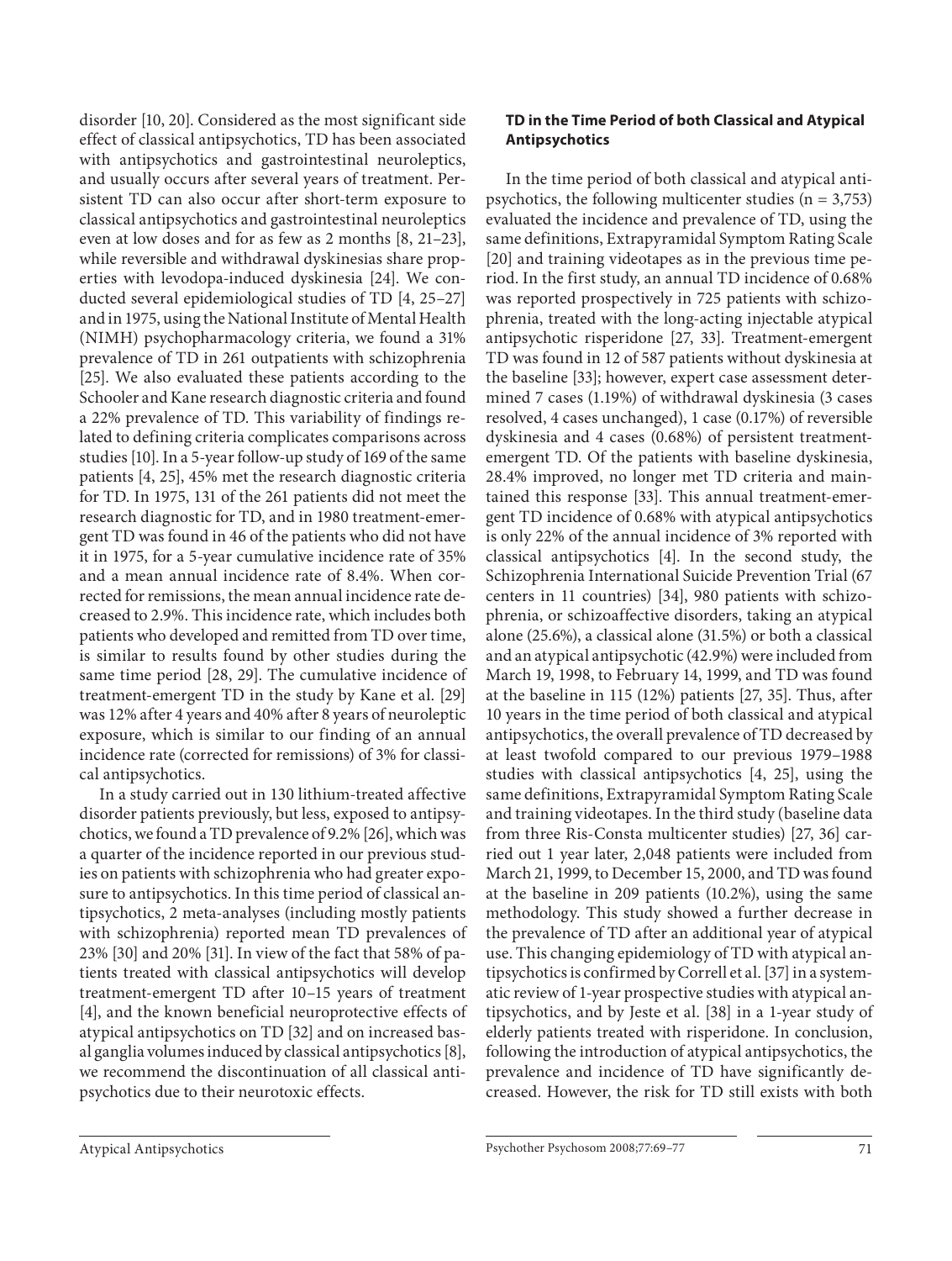disorder [10, 20] . Considered as the most significant side effect of classical antipsychotics, TD has been associated with antipsychotics and gastrointestinal neuroleptics, and usually occurs after several years of treatment. Persistent TD can also occur after short-term exposure to classical antipsychotics and gastrointestinal neuroleptics even at low doses and for as few as 2 months [8, 21–23], while reversible and withdrawal dyskinesias share properties with levodopa-induced dyskinesia [24]. We conducted several epidemiological studies of TD [4, 25–27] and in 1975, using the National Institute of Mental Health (NIMH) psychopharmacology criteria, we found a 31% prevalence of TD in 261 outpatients with schizophrenia [25]. We also evaluated these patients according to the Schooler and Kane research diagnostic criteria and found a 22% prevalence of TD. This variability of findings related to defining criteria complicates comparisons across studies [10]. In a 5-year follow-up study of 169 of the same patients [4, 25], 45% met the research diagnostic criteria for TD. In 1975, 131 of the 261 patients did not meet the research diagnostic for TD, and in 1980 treatment-emergent TD was found in 46 of the patients who did not have it in 1975, for a 5-year cumulative incidence rate of 35% and a mean annual incidence rate of 8.4%. When corrected for remissions, the mean annual incidence rate decreased to 2.9%. This incidence rate, which includes both patients who developed and remitted from TD over time, is similar to results found by other studies during the same time period [28, 29]. The cumulative incidence of treatment-emergent TD in the study by Kane et al. [29] was 12% after 4 years and 40% after 8 years of neuroleptic exposure, which is similar to our finding of an annual incidence rate (corrected for remissions) of 3% for classical antipsychotics.

 In a study carried out in 130 lithium-treated affective disorder patients previously, but less, exposed to antipsychotics, we found a TD prevalence of 9.2% [26] , which was a quarter of the incidence reported in our previous studies on patients with schizophrenia who had greater exposure to antipsychotics. In this time period of classical antipsychotics, 2 meta-analyses (including mostly patients with schizophrenia) reported mean TD prevalences of 23% [30] and 20% [31]. In view of the fact that 58% of patients treated with classical antipsychotics will develop treatment-emergent TD after 10–15 years of treatment [4], and the known beneficial neuroprotective effects of atypical antipsychotics on TD [32] and on increased basal ganglia volumes induced by classical antipsychotics [8] , we recommend the discontinuation of all classical antipsychotics due to their neurotoxic effects.

### **TD in the Time Period of both Classical and Atypical Antipsychotics**

 In the time period of both classical and atypical antipsychotics, the following multicenter studies ( $n = 3,753$ ) evaluated the incidence and prevalence of TD, using the same definitions, Extrapyramidal Symptom Rating Scale [20] and training videotapes as in the previous time period. In the first study, an annual TD incidence of 0.68% was reported prospectively in 725 patients with schizophrenia, treated with the long-acting injectable atypical antipsychotic risperidone [27, 33]. Treatment-emergent TD was found in 12 of 587 patients without dyskinesia at the baseline [33]; however, expert case assessment determined 7 cases (1.19%) of withdrawal dyskinesia (3 cases resolved, 4 cases unchanged), 1 case (0.17%) of reversible dyskinesia and 4 cases (0.68%) of persistent treatmentemergent TD. Of the patients with baseline dyskinesia, 28.4% improved, no longer met TD criteria and maintained this response [33]. This annual treatment-emergent TD incidence of 0.68% with atypical antipsychotics is only 22% of the annual incidence of 3% reported with classical antipsychotics [4]. In the second study, the Schizophrenia International Suicide Prevention Trial (67 centers in 11 countries) [34], 980 patients with schizophrenia, or schizoaffective disorders, taking an atypical alone (25.6%), a classical alone (31.5%) or both a classical and an atypical antipsychotic (42.9%) were included from March 19, 1998, to February 14, 1999, and TD was found at the baseline in 115 (12%) patients [27, 35]. Thus, after 10 years in the time period of both classical and atypical antipsychotics, the overall prevalence of TD decreased by at least twofold compared to our previous 1979–1988 studies with classical antipsychotics [4, 25], using the same definitions, Extrapyramidal Symptom Rating Scale and training videotapes. In the third study (baseline data from three Ris-Consta multicenter studies) [27, 36] carried out 1 year later, 2,048 patients were included from March 21, 1999, to December 15, 2000, and TD was found at the baseline in 209 patients (10.2%), using the same methodology. This study showed a further decrease in the prevalence of TD after an additional year of atypical use. This changing epidemiology of TD with atypical antipsychotics is confirmed by Correll et al. [37] in a systematic review of 1-year prospective studies with atypical antipsychotics, and by Jeste et al. [38] in a 1-year study of elderly patients treated with risperidone. In conclusion, following the introduction of atypical antipsychotics, the prevalence and incidence of TD have significantly decreased. However, the risk for TD still exists with both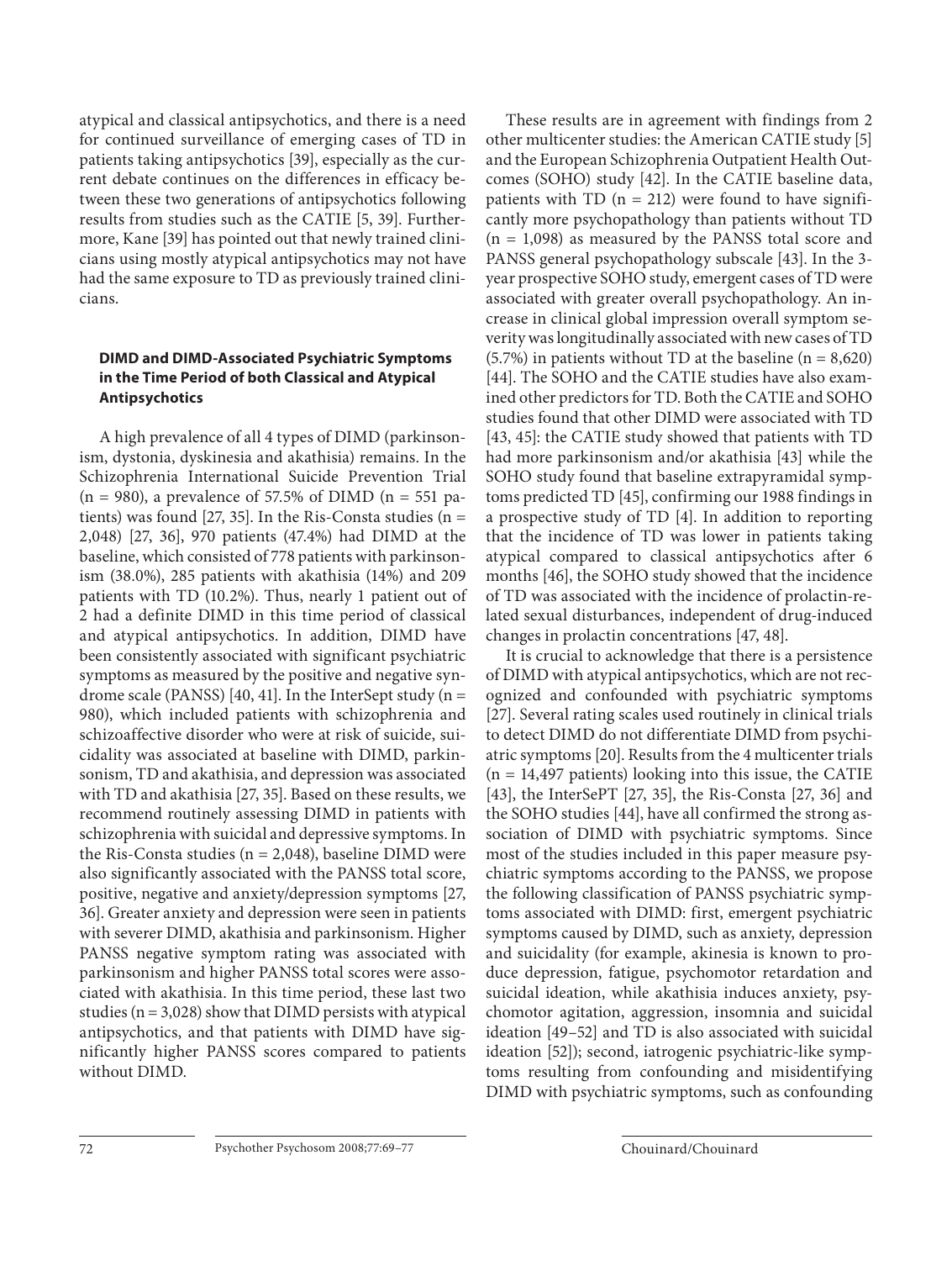atypical and classical antipsychotics, and there is a need for continued surveillance of emerging cases of TD in patients taking antipsychotics [39], especially as the current debate continues on the differences in efficacy between these two generations of antipsychotics following results from studies such as the CATIE [5, 39]. Furthermore, Kane [39] has pointed out that newly trained clinicians using mostly atypical antipsychotics may not have had the same exposure to TD as previously trained clinicians.

## **DIMD and DIMD-Associated Psychiatric Symptoms in the Time Period of both Classical and Atypical Antipsychotics**

 A high prevalence of all 4 types of DIMD (parkinsonism, dystonia, dyskinesia and akathisia) remains. In the Schizophrenia International Suicide Prevention Trial  $(n = 980)$ , a prevalence of 57.5% of DIMD  $(n = 551$  patients) was found [27, 35]. In the Ris-Consta studies ( $n =$ 2,048) [27, 36], 970 patients (47.4%) had DIMD at the baseline, which consisted of 778 patients with parkinsonism (38.0%), 285 patients with akathisia (14%) and 209 patients with TD (10.2%). Thus, nearly 1 patient out of 2 had a definite DIMD in this time period of classical and atypical antipsychotics. In addition, DIMD have been consistently associated with significant psychiatric symptoms as measured by the positive and negative syndrome scale (PANSS) [40, 41]. In the InterSept study ( $n =$ 980), which included patients with schizophrenia and schizoaffective disorder who were at risk of suicide, suicidality was associated at baseline with DIMD, parkinsonism, TD and akathisia, and depression was associated with TD and akathisia [27, 35]. Based on these results, we recommend routinely assessing DIMD in patients with schizophrenia with suicidal and depressive symptoms. In the Ris-Consta studies ( $n = 2,048$ ), baseline DIMD were also significantly associated with the PANSS total score, positive, negative and anxiety/depression symptoms [27, 36] . Greater anxiety and depression were seen in patients with severer DIMD, akathisia and parkinsonism. Higher PANSS negative symptom rating was associated with parkinsonism and higher PANSS total scores were associated with akathisia. In this time period, these last two studies ( $n = 3,028$ ) show that DIMD persists with atypical antipsychotics, and that patients with DIMD have significantly higher PANSS scores compared to patients without DIMD.

 These results are in agreement with findings from 2 other multicenter studies: the American CATIE study [5] and the European Schizophrenia Outpatient Health Outcomes (SOHO) study [42]. In the CATIE baseline data, patients with TD  $(n = 212)$  were found to have significantly more psychopathology than patients without TD  $(n = 1,098)$  as measured by the PANSS total score and PANSS general psychopathology subscale [43]. In the 3year prospective SOHO study, emergent cases of TD were associated with greater overall psychopathology. An increase in clinical global impression overall symptom severity was longitudinally associated with new cases of TD  $(5.7%)$  in patients without TD at the baseline  $(n = 8,620)$ [44]. The SOHO and the CATIE studies have also examined other predictors for TD. Both the CATIE and SOHO studies found that other DIMD were associated with TD [43, 45]: the CATIE study showed that patients with TD had more parkinsonism and/or akathisia [43] while the SOHO study found that baseline extrapyramidal symptoms predicted TD [45], confirming our 1988 findings in a prospective study of TD [4]. In addition to reporting that the incidence of TD was lower in patients taking atypical compared to classical antipsychotics after 6 months [46], the SOHO study showed that the incidence of TD was associated with the incidence of prolactin-related sexual disturbances, independent of drug-induced changes in prolactin concentrations [47, 48] .

 It is crucial to acknowledge that there is a persistence of DIMD with atypical antipsychotics, which are not recognized and confounded with psychiatric symptoms [27]. Several rating scales used routinely in clinical trials to detect DIMD do not differentiate DIMD from psychiatric symptoms [20] . Results from the 4 multicenter trials  $(n = 14,497 \text{ patients})$  looking into this issue, the CATIE [43], the InterSePT [27, 35], the Ris-Consta [27, 36] and the SOHO studies [44], have all confirmed the strong association of DIMD with psychiatric symptoms. Since most of the studies included in this paper measure psychiatric symptoms according to the PANSS, we propose the following classification of PANSS psychiatric symptoms associated with DIMD: first, emergent psychiatric symptoms caused by DIMD, such as anxiety, depression and suicidality (for example, akinesia is known to produce depression, fatigue, psychomotor retardation and suicidal ideation, while akathisia induces anxiety, psychomotor agitation, aggression, insomnia and suicidal ideation [49–52] and TD is also associated with suicidal ideation [52]); second, iatrogenic psychiatric-like symptoms resulting from confounding and misidentifying DIMD with psychiatric symptoms, such as confounding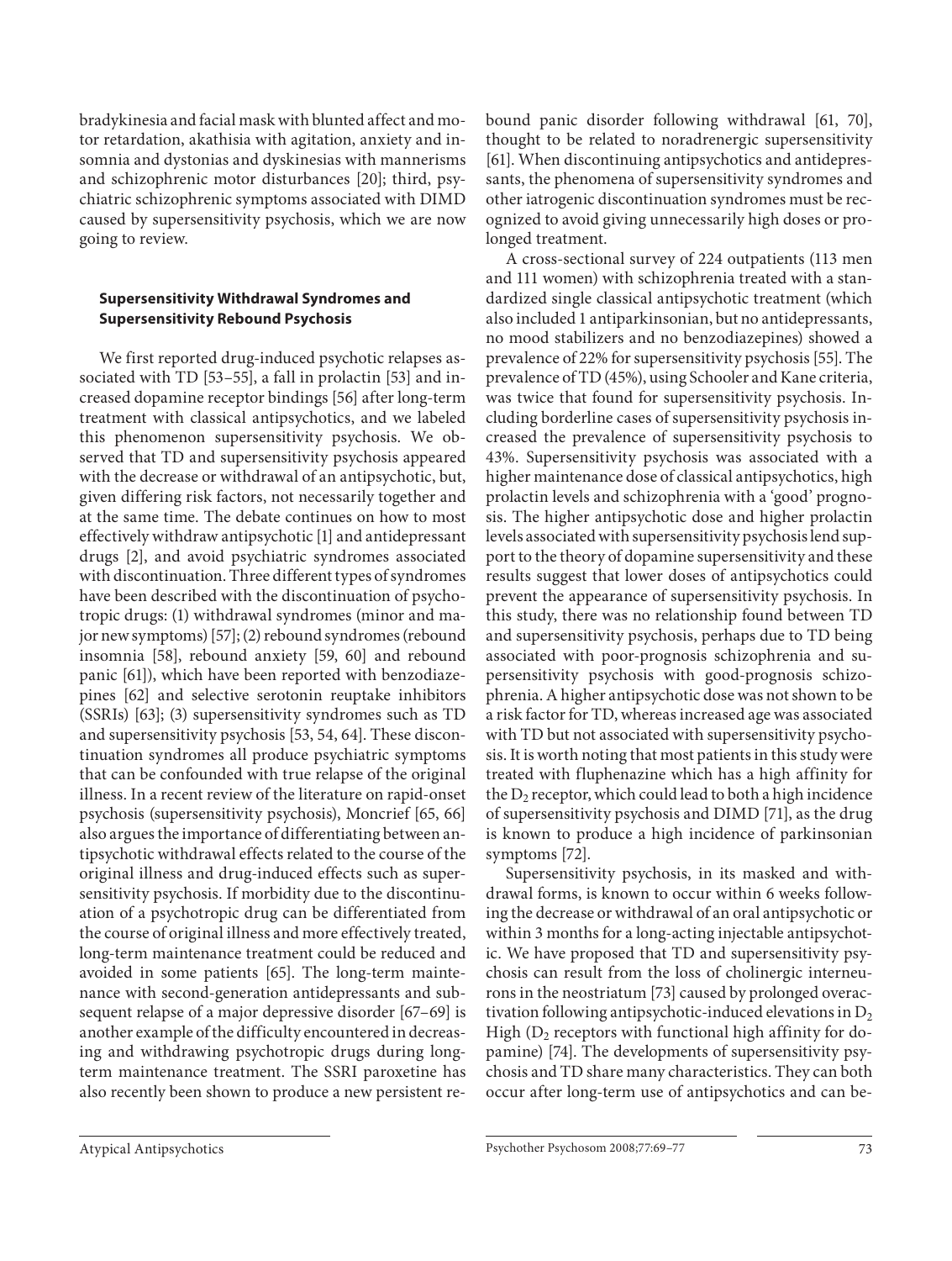bradykinesia and facial mask with blunted affect and motor retardation, akathisia with agitation, anxiety and insomnia and dystonias and dyskinesias with mannerisms and schizophrenic motor disturbances [20]; third, psychiatric schizophrenic symptoms associated with DIMD caused by supersensitivity psychosis, which we are now going to review.

#### **Supersensitivity Withdrawal Syndromes and Supersensitivity Rebound Psychosis**

 We first reported drug-induced psychotic relapses associated with TD  $[53-55]$ , a fall in prolactin  $[53]$  and increased dopamine receptor bindings [56] after long-term treatment with classical antipsychotics, and we labeled this phenomenon supersensitivity psychosis. We observed that TD and supersensitivity psychosis appeared with the decrease or withdrawal of an antipsychotic, but, given differing risk factors, not necessarily together and at the same time. The debate continues on how to most effectively withdraw antipsychotic [1] and antidepressant drugs [2], and avoid psychiatric syndromes associated with discontinuation. Three different types of syndromes have been described with the discontinuation of psychotropic drugs: (1) withdrawal syndromes (minor and major new symptoms) [57]; (2) rebound syndromes (rebound insomnia [58], rebound anxiety [59, 60] and rebound panic [61]), which have been reported with benzodiazepines [62] and selective serotonin reuptake inhibitors  $(SSRIs)$  [63]; (3) supersensitivity syndromes such as TD and supersensitivity psychosis [53, 54, 64] . These discontinuation syndromes all produce psychiatric symptoms that can be confounded with true relapse of the original illness. In a recent review of the literature on rapid-onset psychosis (supersensitivity psychosis), Moncrief [65, 66] also argues the importance of differentiating between antipsychotic withdrawal effects related to the course of the original illness and drug-induced effects such as supersensitivity psychosis. If morbidity due to the discontinuation of a psychotropic drug can be differentiated from the course of original illness and more effectively treated, long-term maintenance treatment could be reduced and avoided in some patients [65]. The long-term maintenance with second-generation antidepressants and subsequent relapse of a major depressive disorder [67-69] is another example of the difficulty encountered in decreasing and withdrawing psychotropic drugs during longterm maintenance treatment. The SSRI paroxetine has also recently been shown to produce a new persistent rebound panic disorder following withdrawal [61, 70], thought to be related to noradrenergic supersensitivity [61]. When discontinuing antipsychotics and antidepressants, the phenomena of supersensitivity syndromes and other iatrogenic discontinuation syndromes must be recognized to avoid giving unnecessarily high doses or prolonged treatment.

 A cross-sectional survey of 224 outpatients (113 men and 111 women) with schizophrenia treated with a standardized single classical antipsychotic treatment (which also included 1 antiparkinsonian, but no antidepressants, no mood stabilizers and no benzodiazepines) showed a prevalence of 22% for supersensitivity psychosis [55] . The prevalence of TD (45%), using Schooler and Kane criteria, was twice that found for supersensitivity psychosis. Including borderline cases of supersensitivity psychosis increased the prevalence of supersensitivity psychosis to 43%. Supersensitivity psychosis was associated with a higher maintenance dose of classical antipsychotics, high prolactin levels and schizophrenia with a 'good' prognosis. The higher antipsychotic dose and higher prolactin levels associated with supersensitivity psychosis lend support to the theory of dopamine supersensitivity and these results suggest that lower doses of antipsychotics could prevent the appearance of supersensitivity psychosis. In this study, there was no relationship found between TD and supersensitivity psychosis, perhaps due to TD being associated with poor-prognosis schizophrenia and supersensitivity psychosis with good-prognosis schizophrenia. A higher antipsychotic dose was not shown to be a risk factor for TD, whereas increased age was associated with TD but not associated with supersensitivity psychosis. It is worth noting that most patients in this study were treated with fluphenazine which has a high affinity for the  $D_2$  receptor, which could lead to both a high incidence of supersensitivity psychosis and DIMD [71], as the drug is known to produce a high incidence of parkinsonian symptoms [72].

 Supersensitivity psychosis, in its masked and withdrawal forms, is known to occur within 6 weeks following the decrease or withdrawal of an oral antipsychotic or within 3 months for a long-acting injectable antipsychotic. We have proposed that TD and supersensitivity psychosis can result from the loss of cholinergic interneurons in the neostriatum [73] caused by prolonged overactivation following antipsychotic-induced elevations in  $D_2$ High  $(D_2$  receptors with functional high affinity for dopamine) [74]. The developments of supersensitivity psychosis and TD share many characteristics. They can both occur after long-term use of antipsychotics and can be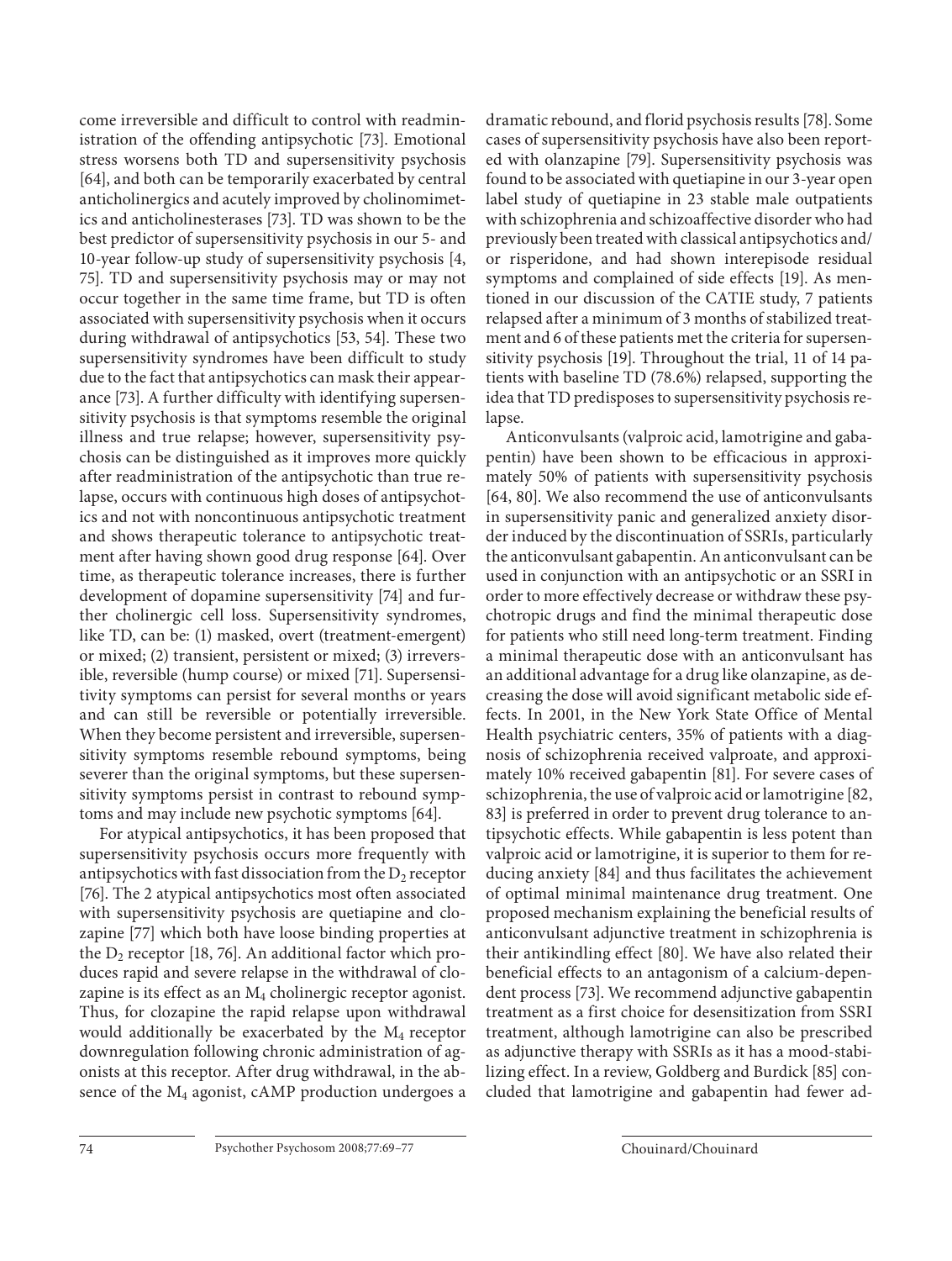come irreversible and difficult to control with readministration of the offending antipsychotic [73]. Emotional stress worsens both TD and supersensitivity psychosis [64], and both can be temporarily exacerbated by central anticholinergics and acutely improved by cholinomimetics and anticholinesterases [73] . TD was shown to be the best predictor of supersensitivity psychosis in our 5- and 10-year follow-up study of supersensitivity psychosis [4, 75]. TD and supersensitivity psychosis may or may not occur together in the same time frame, but TD is often associated with supersensitivity psychosis when it occurs during withdrawal of antipsychotics [53, 54]. These two supersensitivity syndromes have been difficult to study due to the fact that antipsychotics can mask their appearance [73]. A further difficulty with identifying supersensitivity psychosis is that symptoms resemble the original illness and true relapse; however, supersensitivity psychosis can be distinguished as it improves more quickly after readministration of the antipsychotic than true relapse, occurs with continuous high doses of antipsychotics and not with noncontinuous antipsychotic treatment and shows therapeutic tolerance to antipsychotic treatment after having shown good drug response [64] . Over time, as therapeutic tolerance increases, there is further development of dopamine supersensitivity [74] and further cholinergic cell loss. Supersensitivity syndromes, like TD, can be: (1) masked, overt (treatment-emergent) or mixed; (2) transient, persistent or mixed; (3) irreversible, reversible (hump course) or mixed [71]. Supersensitivity symptoms can persist for several months or years and can still be reversible or potentially irreversible. When they become persistent and irreversible, supersensitivity symptoms resemble rebound symptoms, being severer than the original symptoms, but these supersensitivity symptoms persist in contrast to rebound symptoms and may include new psychotic symptoms [64] .

 For atypical antipsychotics, it has been proposed that supersensitivity psychosis occurs more frequently with antipsychotics with fast dissociation from the  $D_2$  receptor [76]. The 2 atypical antipsychotics most often associated with supersensitivity psychosis are quetiapine and clozapine [77] which both have loose binding properties at the  $D_2$  receptor [18, 76]. An additional factor which produces rapid and severe relapse in the withdrawal of clozapine is its effect as an  $M_4$  cholinergic receptor agonist. Thus, for clozapine the rapid relapse upon withdrawal would additionally be exacerbated by the  $M_4$  receptor downregulation following chronic administration of agonists at this receptor. After drug withdrawal, in the absence of the  $M_4$  agonist, cAMP production undergoes a dramatic rebound, and florid psychosis results [78] . Some cases of supersensitivity psychosis have also been reported with olanzapine [79]. Supersensitivity psychosis was found to be associated with quetiapine in our 3-year open label study of quetiapine in 23 stable male outpatients with schizophrenia and schizoaffective disorder who had previously been treated with classical antipsychotics and/ or risperidone, and had shown interepisode residual symptoms and complained of side effects [19]. As mentioned in our discussion of the CATIE study, 7 patients relapsed after a minimum of 3 months of stabilized treatment and 6 of these patients met the criteria for supersensitivity psychosis [19]. Throughout the trial, 11 of 14 patients with baseline TD (78.6%) relapsed, supporting the idea that TD predisposes to supersensitivity psychosis relapse.

 Anticonvulsants (valproic acid, lamotrigine and gabapentin) have been shown to be efficacious in approximately 50% of patients with supersensitivity psychosis [64, 80]. We also recommend the use of anticonvulsants in supersensitivity panic and generalized anxiety disorder induced by the discontinuation of SSRIs, particularly the anticonvulsant gabapentin. An anticonvulsant can be used in conjunction with an antipsychotic or an SSRI in order to more effectively decrease or withdraw these psychotropic drugs and find the minimal therapeutic dose for patients who still need long-term treatment. Finding a minimal therapeutic dose with an anticonvulsant has an additional advantage for a drug like olanzapine, as decreasing the dose will avoid significant metabolic side effects. In 2001, in the New York State Office of Mental Health psychiatric centers, 35% of patients with a diagnosis of schizophrenia received valproate, and approximately 10% received gabapentin [81]. For severe cases of schizophrenia, the use of valproic acid or lamotrigine [82, 83] is preferred in order to prevent drug tolerance to antipsychotic effects. While gabapentin is less potent than valproic acid or lamotrigine, it is superior to them for reducing anxiety [84] and thus facilitates the achievement of optimal minimal maintenance drug treatment. One proposed mechanism explaining the beneficial results of anticonvulsant adjunctive treatment in schizophrenia is their antikindling effect [80]. We have also related their beneficial effects to an antagonism of a calcium-dependent process [73]. We recommend adjunctive gabapentin treatment as a first choice for desensitization from SSRI treatment, although lamotrigine can also be prescribed as adjunctive therapy with SSRIs as it has a mood-stabilizing effect. In a review, Goldberg and Burdick [85] concluded that lamotrigine and gabapentin had fewer ad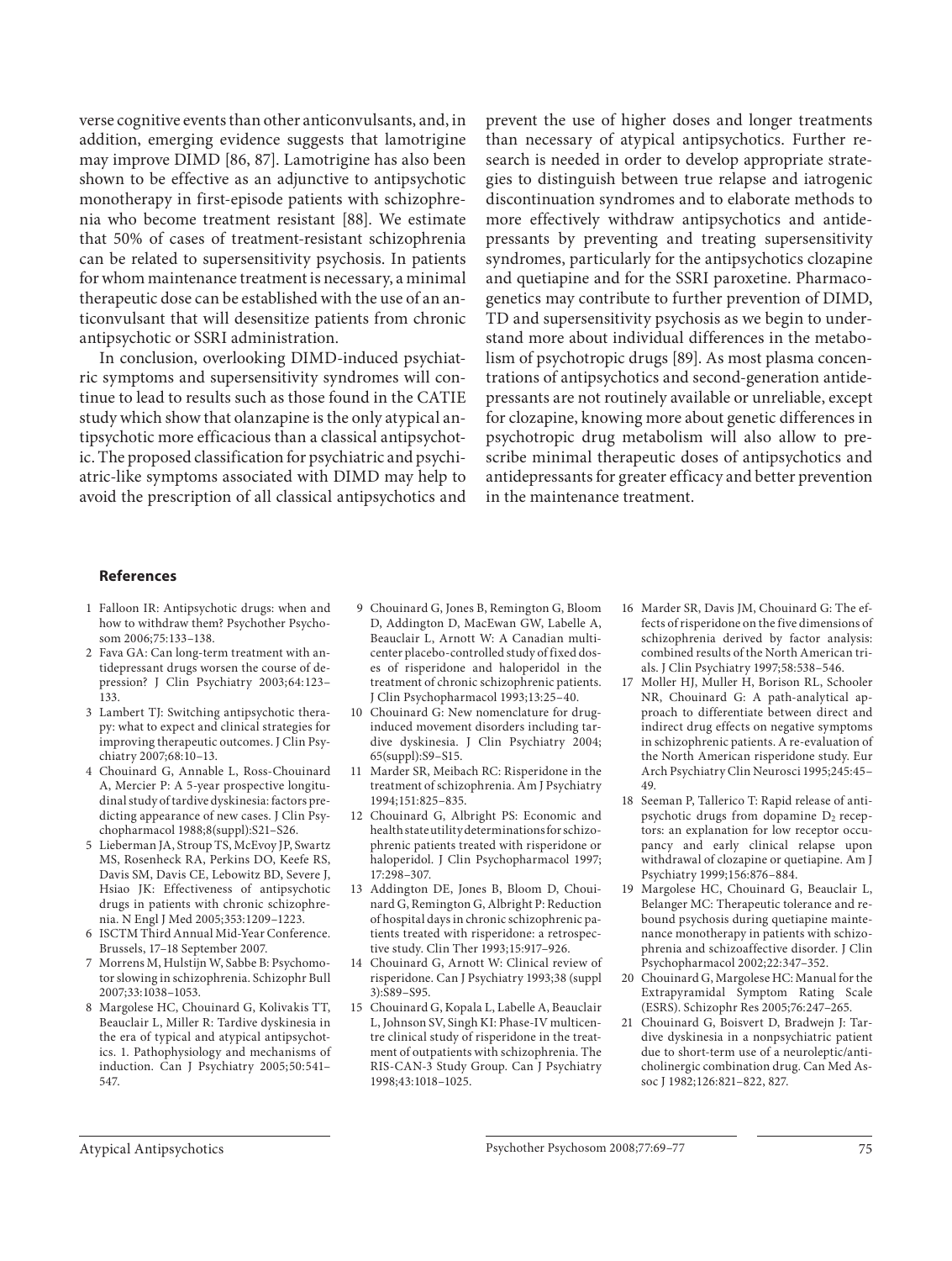verse cognitive events than other anticonvulsants, and, in addition, emerging evidence suggests that lamotrigine may improve DIMD [86, 87]. Lamotrigine has also been shown to be effective as an adjunctive to antipsychotic monotherapy in first-episode patients with schizophrenia who become treatment resistant [88]. We estimate that 50% of cases of treatment-resistant schizophrenia can be related to supersensitivity psychosis. In patients for whom maintenance treatment is necessary, a minimal therapeutic dose can be established with the use of an anticonvulsant that will desensitize patients from chronic antipsychotic or SSRI administration.

 In conclusion, overlooking DIMD-induced psychiatric symptoms and supersensitivity syndromes will continue to lead to results such as those found in the CATIE study which show that olanzapine is the only atypical antipsychotic more efficacious than a classical antipsychotic. The proposed classification for psychiatric and psychiatric-like symptoms associated with DIMD may help to avoid the prescription of all classical antipsychotics and prevent the use of higher doses and longer treatments than necessary of atypical antipsychotics. Further research is needed in order to develop appropriate strategies to distinguish between true relapse and iatrogenic discontinuation syndromes and to elaborate methods to more effectively withdraw antipsychotics and antidepressants by preventing and treating supersensitivity syndromes, particularly for the antipsychotics clozapine and quetiapine and for the SSRI paroxetine. Pharmacogenetics may contribute to further prevention of DIMD, TD and supersensitivity psychosis as we begin to understand more about individual differences in the metabolism of psychotropic drugs [89]. As most plasma concentrations of antipsychotics and second-generation antidepressants are not routinely available or unreliable, except for clozapine, knowing more about genetic differences in psychotropic drug metabolism will also allow to prescribe minimal therapeutic doses of antipsychotics and antidepressants for greater efficacy and better prevention in the maintenance treatment.

#### **References**

- 1 Falloon IR: Antipsychotic drugs: when and how to withdraw them? Psychother Psychosom 2006; 75: 133–138.
- 2 Fava GA: Can long-term treatment with antidepressant drugs worsen the course of depression? J Clin Psychiatry 2003; 64: 123– 133.
- 3 Lambert TJ: Switching antipsychotic therapy: what to expect and clinical strategies for improving therapeutic outcomes. J Clin Psychiatry 2007;68:10-13.
- 4 Chouinard G, Annable L, Ross-Chouinard A, Mercier P: A 5-year prospective longitudinal study of tardive dyskinesia: factors predicting appearance of new cases. J Clin Psychopharmacol 1988; 8(suppl):S21–S26.
- 5 Lieberman JA, Stroup TS, McEvoy JP, Swartz MS, Rosenheck RA, Perkins DO, Keefe RS, Davis SM, Davis CE, Lebowitz BD, Severe J, Hsiao JK: Effectiveness of antipsychotic drugs in patients with chronic schizophrenia. N Engl J Med 2005; 353: 1209–1223.
- 6 ISCTM Third Annual Mid-Year Conference. Brussels, 17–18 September 2007.
- 7 Morrens M, Hulstijn W, Sabbe B: Psychomotor slowing in schizophrenia. Schizophr Bull 2007; 33: 1038–1053.
- 8 Margolese HC, Chouinard G, Kolivakis TT, Beauclair L, Miller R: Tardive dyskinesia in the era of typical and atypical antipsychotics. 1. Pathophysiology and mechanisms of induction. Can J Psychiatry 2005;50:541-547.
- 9 Chouinard G, Jones B, Remington G, Bloom D, Addington D, MacEwan GW, Labelle A, Beauclair L, Arnott W: A Canadian multicenter placebo-controlled study of fixed doses of risperidone and haloperidol in the treatment of chronic schizophrenic patients. J Clin Psychopharmacol 1993; 13: 25–40.
- 10 Chouinard G: New nomenclature for druginduced movement disorders including tardive dyskinesia. J Clin Psychiatry 2004; 65(suppl):S9–S15.
- 11 Marder SR, Meibach RC: Risperidone in the treatment of schizophrenia. Am J Psychiatry 1994; 151: 825–835.
- 12 Chouinard G, Albright PS: Economic and health state utility determinations for schizophrenic patients treated with risperidone or haloperidol. J Clin Psychopharmacol 1997; 17: 298–307.
- 13 Addington DE, Jones B, Bloom D, Chouinard G, Remington G, Albright P: Reduction of hospital days in chronic schizophrenic patients treated with risperidone: a retrospective study. Clin Ther 1993; 15: 917–926.
- 14 Chouinard G, Arnott W: Clinical review of risperidone. Can J Psychiatry 1993; 38 (suppl 3):S89–S95.
- 15 Chouinard G, Kopala L, Labelle A, Beauclair L, Johnson SV, Singh KI: Phase-IV multicentre clinical study of risperidone in the treatment of outpatients with schizophrenia. The RIS-CAN-3 Study Group. Can J Psychiatry 1998; 43: 1018–1025.
- 16 Marder SR, Davis JM, Chouinard G: The effects of risperidone on the five dimensions of schizophrenia derived by factor analysis: combined results of the North American trials. J Clin Psychiatry 1997; 58: 538–546.
- 17 Moller HJ, Muller H, Borison RL, Schooler NR, Chouinard G: A path-analytical approach to differentiate between direct and indirect drug effects on negative symptoms in schizophrenic patients. A re-evaluation of the North American risperidone study. Eur Arch Psychiatry Clin Neurosci 1995; 245: 45– 49.
- 18 Seeman P, Tallerico T: Rapid release of antipsychotic drugs from dopamine D<sub>2</sub> receptors: an explanation for low receptor occupancy and early clinical relapse upon withdrawal of clozapine or quetiapine. Am J Psychiatry 1999; 156: 876-884.
- 19 Margolese HC, Chouinard G, Beauclair L, Belanger MC: Therapeutic tolerance and rebound psychosis during quetiapine maintenance monotherapy in patients with schizophrenia and schizoaffective disorder. J Clin Psychopharmacol 2002; 22: 347–352.
- 20 Chouinard G, Margolese HC: Manual for the Extrapyramidal Symptom Rating Scale (ESRS). Schizophr Res 2005; 76: 247–265.
- 21 Chouinard G, Boisvert D, Bradwejn J: Tardive dyskinesia in a nonpsychiatric patient due to short-term use of a neuroleptic/anticholinergic combination drug. Can Med Assoc J 1982;126:821-822, 827.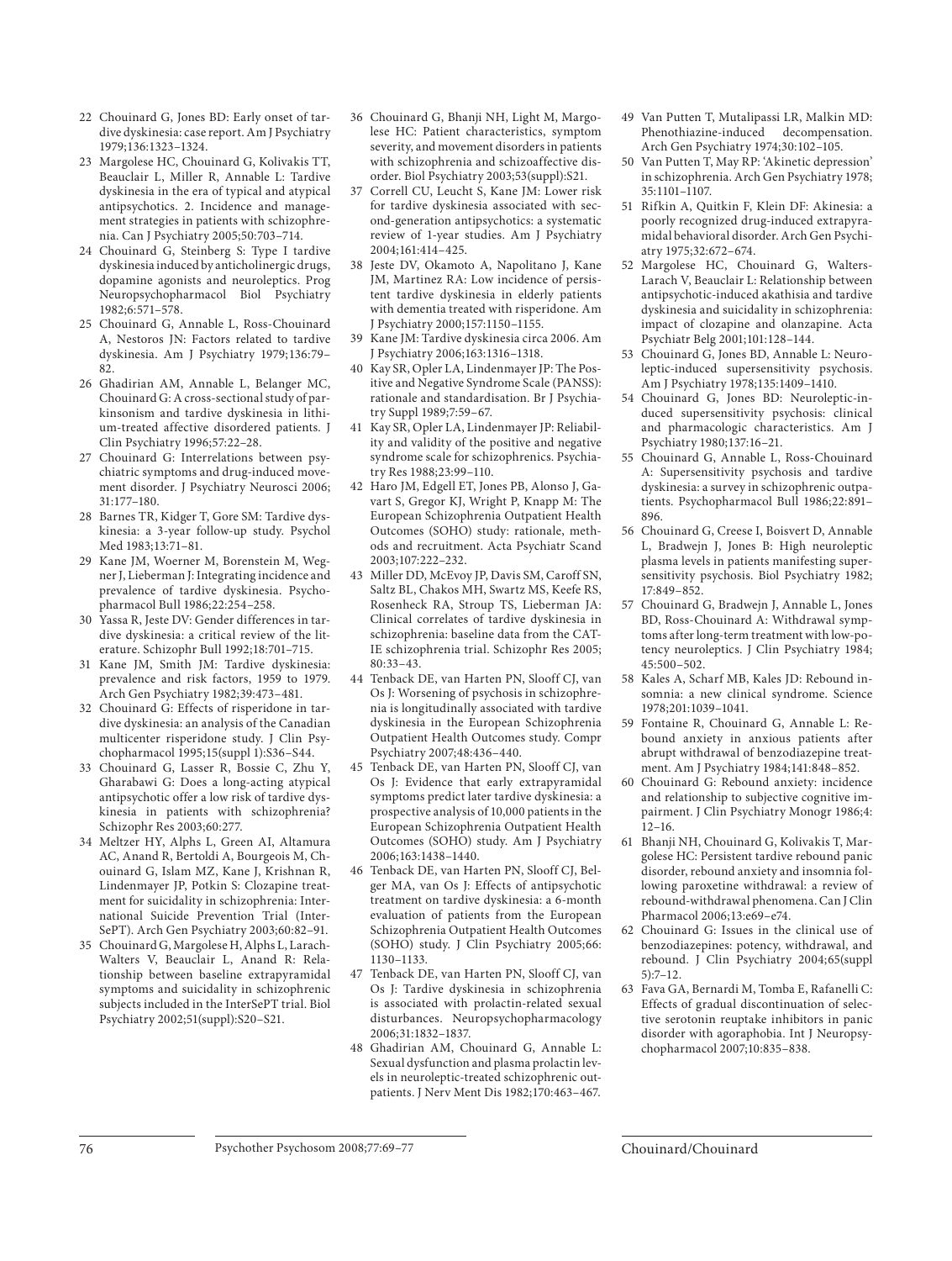- 22 Chouinard G, Jones BD: Early onset of tardive dyskinesia: case report. Am J Psychiatry 1979; 136: 1323–1324.
- 23 Margolese HC, Chouinard G, Kolivakis TT, Beauclair L, Miller R, Annable L: Tardive dyskinesia in the era of typical and atypical antipsychotics. 2. Incidence and management strategies in patients with schizophrenia. Can J Psychiatry 2005; 50: 703–714.
- 24 Chouinard G, Steinberg S: Type I tardive dyskinesia induced by anticholinergic drugs, dopamine agonists and neuroleptics. Prog Neuropsychopharmacol Biol Psychiatry 1982; 6: 571–578.
- 25 Chouinard G, Annable L, Ross-Chouinard A, Nestoros JN: Factors related to tardive dyskinesia. Am J Psychiatry 1979;136:79-82.
- 26 Ghadirian AM, Annable L, Belanger MC, Chouinard G: A cross-sectional study of parkinsonism and tardive dyskinesia in lithium-treated affective disordered patients. J Clin Psychiatry 1996;57:22-28.
- 27 Chouinard G: Interrelations between psychiatric symptoms and drug-induced movement disorder. J Psychiatry Neurosci 2006; 31: 177–180.
- 28 Barnes TR, Kidger T, Gore SM: Tardive dyskinesia: a 3-year follow-up study. Psychol Med 1983;13:71-81.
- 29 Kane JM, Woerner M, Borenstein M, Wegner J, Lieberman J: Integrating incidence and prevalence of tardive dyskinesia. Psychopharmacol Bull 1986; 22: 254–258.
- 30 Yassa R, Jeste DV: Gender differences in tardive dyskinesia: a critical review of the literature. Schizophr Bull 1992; 18: 701–715.
- 31 Kane JM, Smith JM: Tardive dyskinesia: prevalence and risk factors, 1959 to 1979. Arch Gen Psychiatry 1982;39:473-481.
- 32 Chouinard G: Effects of risperidone in tardive dyskinesia: an analysis of the Canadian multicenter risperidone study. J Clin Psychopharmacol 1995; 15(suppl 1):S36–S44.
- 33 Chouinard G, Lasser R, Bossie C, Zhu Y, Gharabawi G: Does a long-acting atypical antipsychotic offer a low risk of tardive dyskinesia in patients with schizophrenia? Schizophr Res 2003;60:277.
- 34 Meltzer HY, Alphs L, Green AI, Altamura AC, Anand R, Bertoldi A, Bourgeois M, Chouinard G, Islam MZ, Kane J, Krishnan R, Lindenmayer JP, Potkin S: Clozapine treatment for suicidality in schizophrenia: International Suicide Prevention Trial (Inter-SePT). Arch Gen Psychiatry 2003;60:82-91.
- 35 Chouinard G, Margolese H, Alphs L, Larach-Walters V, Beauclair L, Anand R: Relationship between baseline extrapyramidal symptoms and suicidality in schizophrenic subjects included in the InterSePT trial. Biol Psychiatry 2002; 51(suppl):S20–S21.
- 36 Chouinard G, Bhanji NH, Light M, Margolese HC: Patient characteristics, symptom severity, and movement disorders in patients with schizophrenia and schizoaffective disorder. Biol Psychiatry 2003;53(suppl):S21.
- 37 Correll CU, Leucht S, Kane JM: Lower risk for tardive dyskinesia associated with second-generation antipsychotics: a systematic review of 1-year studies. Am J Psychiatry 2004; 161: 414–425.
- 38 Jeste DV, Okamoto A, Napolitano J, Kane JM, Martinez RA: Low incidence of persistent tardive dyskinesia in elderly patients with dementia treated with risperidone. Am J Psychiatry 2000; 157: 1150–1155.
- 39 Kane JM: Tardive dyskinesia circa 2006. Am J Psychiatry 2006; 163: 1316–1318.
- 40 Kay SR, Opler LA, Lindenmayer JP: The Positive and Negative Syndrome Scale (PANSS): rationale and standardisation. Br J Psychiatry Suppl 1989;7:59-67.
- 41 Kay SR, Opler LA, Lindenmayer JP: Reliability and validity of the positive and negative syndrome scale for schizophrenics. Psychiatry Res 1988;23:99-110.
- 42 Haro JM, Edgell ET, Jones PB, Alonso J, Gavart S, Gregor KJ, Wright P, Knapp M: The European Schizophrenia Outpatient Health Outcomes (SOHO) study: rationale, methods and recruitment. Acta Psychiatr Scand  $2003 \cdot 107 \cdot 222 - 232$
- 43 Miller DD, McEvoy JP, Davis SM, Caroff SN, Saltz BL, Chakos MH, Swartz MS, Keefe RS, Rosenheck RA, Stroup TS, Lieberman JA: Clinical correlates of tardive dyskinesia in schizophrenia: baseline data from the CAT-IE schizophrenia trial. Schizophr Res 2005;  $80:33-43$
- 44 Tenback DE, van Harten PN, Slooff CJ, van Os J: Worsening of psychosis in schizophrenia is longitudinally associated with tardive dyskinesia in the European Schizophrenia Outpatient Health Outcomes study. Compr Psychiatry 2007;48:436-440.
- 45 Tenback DE, van Harten PN, Slooff CJ, van Os J: Evidence that early extrapyramidal symptoms predict later tardive dyskinesia: a prospective analysis of 10,000 patients in the European Schizophrenia Outpatient Health Outcomes (SOHO) study. Am J Psychiatry 2006; 163: 1438–1440.
- 46 Tenback DE, van Harten PN, Slooff CJ, Belger MA, van Os J: Effects of antipsychotic treatment on tardive dyskinesia: a 6-month evaluation of patients from the European Schizophrenia Outpatient Health Outcomes (SOHO) study. J Clin Psychiatry 2005;66: 1130–1133.
- 47 Tenback DE, van Harten PN, Slooff CJ, van Os J: Tardive dyskinesia in schizophrenia is associated with prolactin-related sexual disturbances. Neuropsychopharmacology 2006; 31: 1832–1837.
- 48 Ghadirian AM, Chouinard G, Annable L: Sexual dysfunction and plasma prolactin levels in neuroleptic-treated schizophrenic outpatients. J Nerv Ment Dis 1982; 170:463-467.
- 49 Van Putten T, Mutalipassi LR, Malkin MD: Phenothiazine-induced decompensation. Arch Gen Psychiatry 1974; 30: 102–105.
- 50 Van Putten T, May RP: 'Akinetic depression' in schizophrenia. Arch Gen Psychiatry 1978; 35: 1101–1107.
- 51 Rifkin A, Quitkin F, Klein DF: Akinesia: a poorly recognized drug-induced extrapyramidal behavioral disorder. Arch Gen Psychiatry 1975;32:672-674.
- 52 Margolese HC, Chouinard G, Walters-Larach V, Beauclair L: Relationship between antipsychotic-induced akathisia and tardive dyskinesia and suicidality in schizophrenia: impact of clozapine and olanzapine. Acta Psychiatr Belg 2001; 101: 128–144.
- 53 Chouinard G, Jones BD, Annable L: Neuroleptic-induced supersensitivity psychosis. Am J Psychiatry 1978; 135: 1409–1410.
- 54 Chouinard G, Jones BD: Neuroleptic-induced supersensitivity psychosis: clinical and pharmacologic characteristics. Am J Psychiatry 1980; 137: 16–21.
- 55 Chouinard G, Annable L, Ross-Chouinard A: Supersensitivity psychosis and tardive dyskinesia: a survey in schizophrenic outpatients. Psychopharmacol Bull 1986;22:891-896.
- 56 Chouinard G, Creese I, Boisvert D, Annable L, Bradwejn J, Jones B: High neuroleptic plasma levels in patients manifesting supersensitivity psychosis. Biol Psychiatry 1982; 17: 849–852.
- 57 Chouinard G, Bradwejn J, Annable L, Jones BD, Ross-Chouinard A: Withdrawal symptoms after long-term treatment with low-potency neuroleptics. J Clin Psychiatry 1984;  $45.500 - 502$
- 58 Kales A, Scharf MB, Kales JD: Rebound insomnia: a new clinical syndrome. Science 1978; 201: 1039–1041.
- 59 Fontaine R, Chouinard G, Annable L: Rebound anxiety in anxious patients after abrupt withdrawal of benzodiazepine treatment. Am J Psychiatry 1984;141:848-852.
- 60 Chouinard G: Rebound anxiety: incidence and relationship to subjective cognitive impairment. J Clin Psychiatry Monogr 1986;4: 12–16.
- 61 Bhanji NH, Chouinard G, Kolivakis T, Margolese HC: Persistent tardive rebound panic disorder, rebound anxiety and insomnia following paroxetine withdrawal: a review of rebound-withdrawal phenomena. Can J Clin Pharmacol 2006; 13:e69–e74.
- 62 Chouinard G: Issues in the clinical use of benzodiazepines: potency, withdrawal, and rebound. J Clin Psychiatry 2004; 65(suppl 5):7–12.
- 63 Fava GA, Bernardi M, Tomba E, Rafanelli C: Effects of gradual discontinuation of selective serotonin reuptake inhibitors in panic disorder with agoraphobia. Int J Neuropsychopharmacol 2007;10: 835–838.